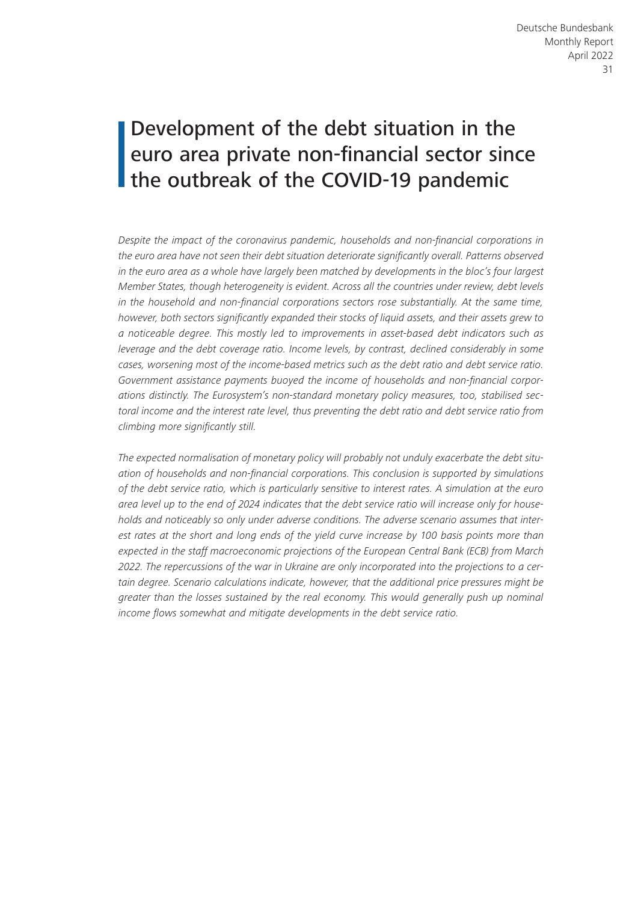# Development of the debt situation in the euro area private non-financial sector since the outbreak of the COVID-19 pandemic

*Despite the impact of the coronavirus pandemic, households and non-financial corporations in the euro area have not seen their debt situation deteriorate significantly overall. Patterns observed in the euro area as a whole have largely been matched by developments in the bloc's four largest Member States, though heterogeneity is evident. Across all the countries under review, debt levels in the household and non-financial corporations sectors rose substantially. At the same time, however, both sectors significantly expanded their stocks of liquid assets, and their assets grew to a noticeable degree. This mostly led to improvements in asset-based debt indicators such as leverage and the debt coverage ratio. Income levels, by contrast, declined considerably in some cases, worsening most of the income-based metrics such as the debt ratio and debt service ratio. Government assistance payments buoyed the income of households and non-financial corporations distinctly. The Eurosystem's non-standard monetary policy measures, too, stabilised sectoral income and the interest rate level, thus preventing the debt ratio and debt service ratio from climbing more significantly still.*

*The expected normalisation of monetary policy will probably not unduly exacerbate the debt situation of households and non-financial corporations. This conclusion is supported by simulations of the debt service ratio, which is particularly sensitive to interest rates. A simulation at the euro area level up to the end of 2024 indicates that the debt service ratio will increase only for households and noticeably so only under adverse conditions. The adverse scenario assumes that interest rates at the short and long ends of the yield curve increase by 100 basis points more than expected in the staff macroeconomic projections of the European Central Bank (ECB) from March 2022. The repercussions of the war in Ukraine are only incorporated into the projections to a certain degree. Scenario calculations indicate, however, that the additional price pressures might be greater than the losses sustained by the real economy. This would generally push up nominal income flows somewhat and mitigate developments in the debt service ratio.*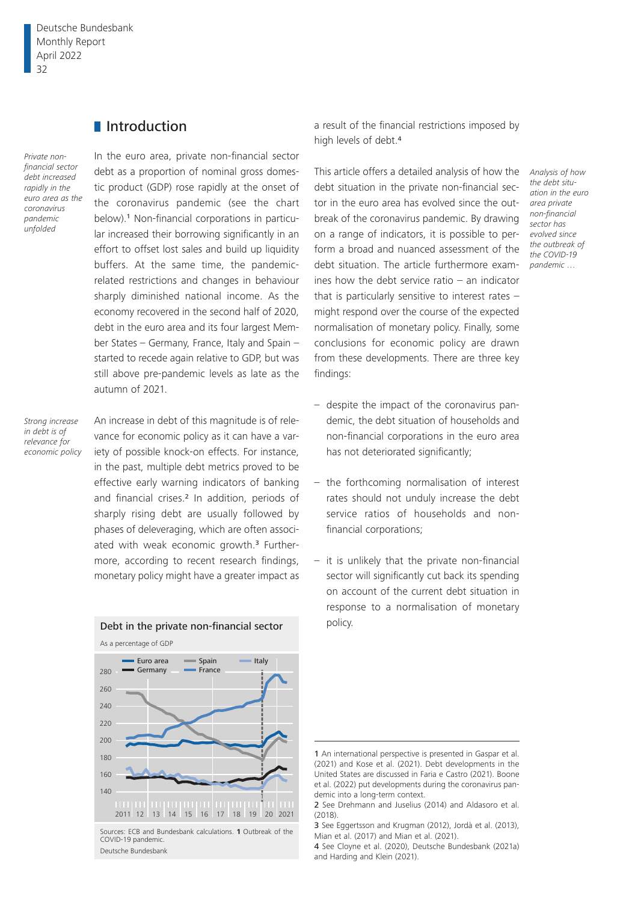### **I**Introduction

*Private nonfinancial sector debt increased rapidly in the euro area as the coronavirus pandemic unfolded*

In the euro area, private non-financial sector debt as a proportion of nominal gross domestic product (GDP) rose rapidly at the onset of the coronavirus pandemic (see the chart below).1 Non-financial corporations in particular increased their borrowing significantly in an effort to offset lost sales and build up liquidity buffers. At the same time, the pandemicrelated restrictions and changes in behaviour sharply diminished national income. As the economy recovered in the second half of 2020, debt in the euro area and its four largest Member States – Germany, France, Italy and Spain – started to recede again relative to GDP, but was still above pre-pandemic levels as late as the autumn of 2021.

*Strong increase in debt is of relevance for economic policy* An increase in debt of this magnitude is of relevance for economic policy as it can have a variety of possible knock-on effects. For instance, in the past, multiple debt metrics proved to be effective early warning indicators of banking and financial crises.<sup>2</sup> In addition, periods of sharply rising debt are usually followed by phases of deleveraging, which are often associated with weak economic growth.3 Furthermore, according to recent research findings, monetary policy might have a greater impact as



# Debt in the private non-financial sector

a result of the financial restrictions imposed by high levels of debt.<sup>4</sup>

> *Analysis of how the debt situation in the euro area private non-financial sector has evolved since the outbreak of the COVID-19 pandemic …*

This article offers a detailed analysis of how the debt situation in the private non-financial sector in the euro area has evolved since the outbreak of the coronavirus pandemic. By drawing on a range of indicators, it is possible to perform a broad and nuanced assessment of the debt situation. The article furthermore examines how the debt service ratio – an indicator that is particularly sensitive to interest rates – might respond over the course of the expected normalisation of monetary policy. Finally, some conclusions for economic policy are drawn from these developments. There are three key findings:

- despite the impact of the coronavirus pandemic, the debt situation of households and non-financial corporations in the euro area has not deteriorated significantly;
- the forthcoming normalisation of interest rates should not unduly increase the debt service ratios of households and nonfinancial corporations;
- it is unlikely that the private non-financial sector will significantly cut back its spending on account of the current debt situation in response to a normalisation of monetary policy.

Sources: ECB and Bundesbank calculations. **1** Outbreak of the COVID-19 pandemic. Deutsche Bundesbank

<sup>1</sup> An international perspective is presented in Gaspar et al. (2021) and Kose et al. (2021). Debt developments in the United States are discussed in Faria e Castro (2021). Boone et al. (2022) put developments during the coronavirus pandemic into a long-term context.

<sup>2</sup> See Drehmann and Juselius (2014) and Aldasoro et al. (2018).

<sup>3</sup> See Eggertsson and Krugman (2012), Jordà et al. (2013), Mian et al. (2017) and Mian et al. (2021).

<sup>4</sup> See Cloyne et al. (2020), Deutsche Bundesbank (2021a) and Harding and Klein (2021).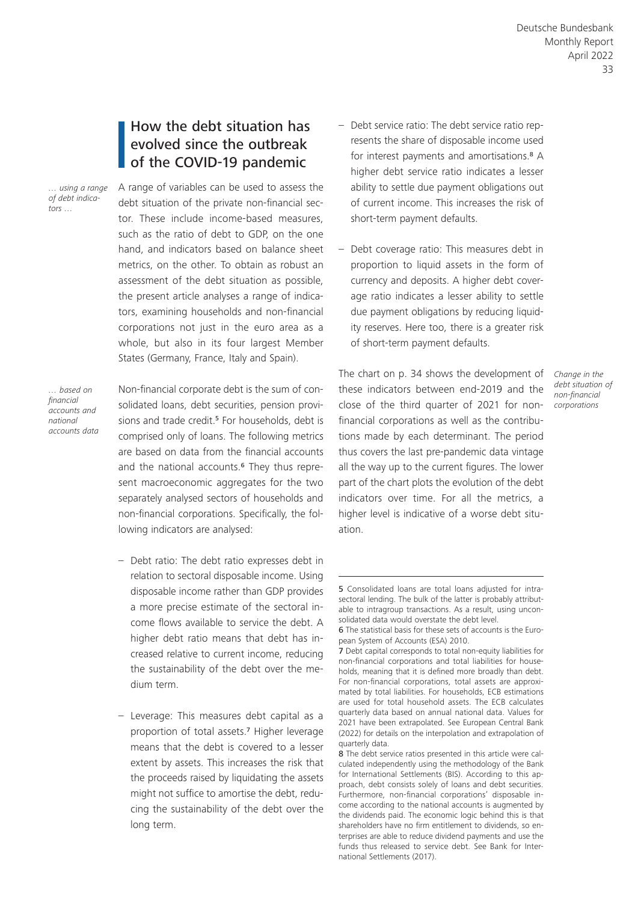# How the debt situation has evolved since the outbreak of the COVID-19 pandemic

*… using a range of debt indicators …*

A range of variables can be used to assess the debt situation of the private non-financial sector. These include income-based measures, such as the ratio of debt to GDP, on the one hand, and indicators based on balance sheet metrics, on the other. To obtain as robust an assessment of the debt situation as possible, the present article analyses a range of indicators, examining households and non-financial corporations not just in the euro area as a whole, but also in its four largest Member States (Germany, France, Italy and Spain).

*… based on financial accounts and national accounts data* Non-financial corporate debt is the sum of consolidated loans, debt securities, pension provisions and trade credit.<sup>5</sup> For households, debt is comprised only of loans. The following metrics are based on data from the financial accounts and the national accounts.<sup>6</sup> They thus represent macroeconomic aggregates for the two separately analysed sectors of households and non-financial corporations. Specifically, the following indicators are analysed:

- Debt ratio: The debt ratio expresses debt in relation to sectoral disposable income. Using disposable income rather than GDP provides a more precise estimate of the sectoral income flows available to service the debt. A higher debt ratio means that debt has increased relative to current income, reducing the sustainability of the debt over the medium term.
- Leverage: This measures debt capital as a proportion of total assets.7 Higher leverage means that the debt is covered to a lesser extent by assets. This increases the risk that the proceeds raised by liquidating the assets might not suffice to amortise the debt, reducing the sustainability of the debt over the long term.
- Debt service ratio: The debt service ratio represents the share of disposable income used for interest payments and amortisations.<sup>8</sup> A higher debt service ratio indicates a lesser ability to settle due payment obligations out of current income. This increases the risk of short-term payment defaults.
- Debt coverage ratio: This measures debt in proportion to liquid assets in the form of currency and deposits. A higher debt coverage ratio indicates a lesser ability to settle due payment obligations by reducing liquidity reserves. Here too, there is a greater risk of short-term payment defaults.

The chart on p. 34 shows the development of these indicators between end-2019 and the close of the third quarter of 2021 for nonfinancial corporations as well as the contributions made by each determinant. The period thus covers the last pre-pandemic data vintage all the way up to the current figures. The lower part of the chart plots the evolution of the debt indicators over time. For all the metrics, a higher level is indicative of a worse debt situation.

*Change in the debt situation of non-financial corporations*

<sup>5</sup> Consolidated loans are total loans adjusted for intrasectoral lending. The bulk of the latter is probably attributable to intragroup transactions. As a result, using unconsolidated data would overstate the debt level.

<sup>6</sup> The statistical basis for these sets of accounts is the European System of Accounts (ESA) 2010.

<sup>7</sup> Debt capital corresponds to total non-equity liabilities for non-financial corporations and total liabilities for households, meaning that it is defined more broadly than debt. For non-financial corporations, total assets are approximated by total liabilities. For households, ECB estimations are used for total household assets. The ECB calculates quarterly data based on annual national data. Values for 2021 have been extrapolated. See European Central Bank (2022) for details on the interpolation and extrapolation of quarterly data.

<sup>8</sup> The debt service ratios presented in this article were calculated independently using the methodology of the Bank for International Settlements (BIS). According to this approach, debt consists solely of loans and debt securities. Furthermore, non-financial corporations' disposable income according to the national accounts is augmented by the dividends paid. The economic logic behind this is that shareholders have no firm entitlement to dividends, so enterprises are able to reduce dividend payments and use the funds thus released to service debt. See Bank for International Settlements (2017).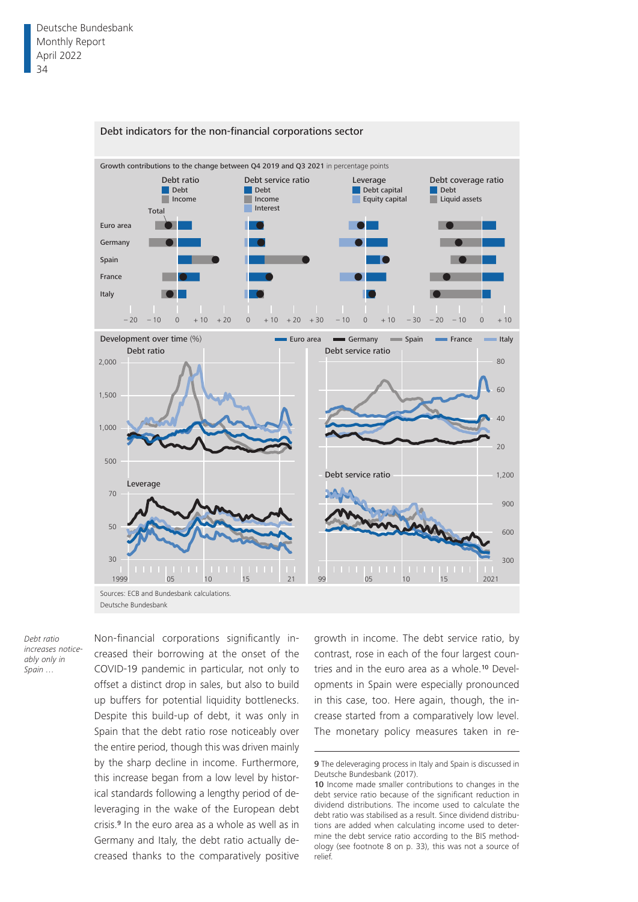

Deutsche Bundesbank

*Debt ratio increases noticeably only in Spain …*

Non-financial corporations significantly increased their borrowing at the onset of the COVID-19 pandemic in particular, not only to offset a distinct drop in sales, but also to build up buffers for potential liquidity bottlenecks. Despite this build-up of debt, it was only in Spain that the debt ratio rose noticeably over the entire period, though this was driven mainly by the sharp decline in income. Furthermore, this increase began from a low level by historical standards following a lengthy period of deleveraging in the wake of the European debt crisis.9 In the euro area as a whole as well as in Germany and Italy, the debt ratio actually decreased thanks to the comparatively positive

growth in income. The debt service ratio, by contrast, rose in each of the four largest countries and in the euro area as a whole.10 Developments in Spain were especially pronounced in this case, too. Here again, though, the increase started from a comparatively low level. The monetary policy measures taken in re-

<sup>9</sup> The deleveraging process in Italy and Spain is discussed in Deutsche Bundesbank (2017).

<sup>10</sup> Income made smaller contributions to changes in the debt service ratio because of the significant reduction in dividend distributions. The income used to calculate the debt ratio was stabilised as a result. Since dividend distributions are added when calculating income used to determine the debt service ratio according to the BIS methodology (see footnote 8 on p. 33), this was not a source of relief.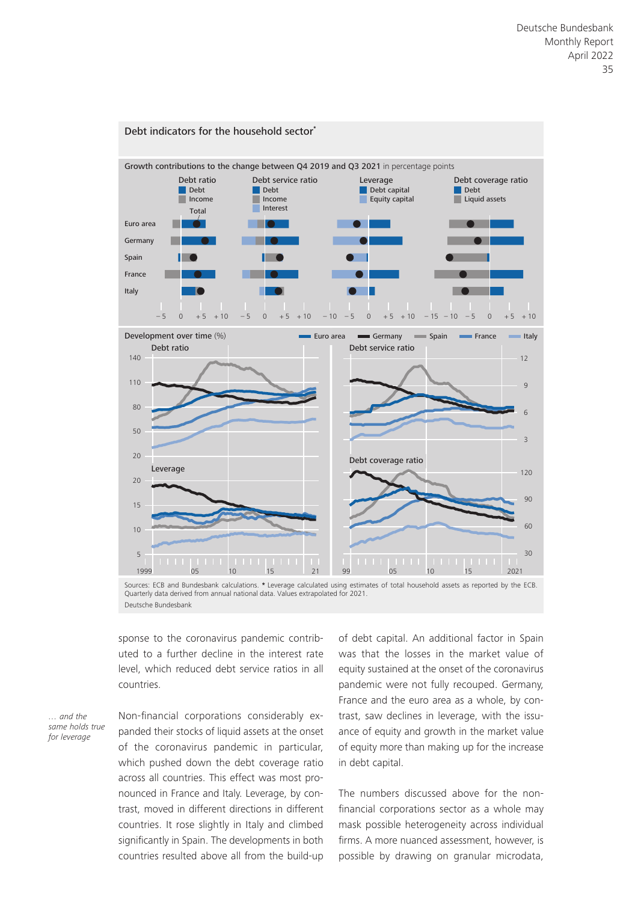

#### Sources: ECB and Bundesbank calculations. **\*** Leverage calculated using estimates of total household assets as reported by the ECB. Quarterly data derived from annual national data. Values extrapolated for 2021. Deutsche Bundesbank

sponse to the coronavirus pandemic contributed to a further decline in the interest rate level, which reduced debt service ratios in all countries.

*… and the same holds true for leverage*

Non-financial corporations considerably expanded their stocks of liquid assets at the onset of the coronavirus pandemic in particular, which pushed down the debt coverage ratio across all countries. This effect was most pronounced in France and Italy. Leverage, by contrast, moved in different directions in different countries. It rose slightly in Italy and climbed significantly in Spain. The developments in both countries resulted above all from the build-up of debt capital. An additional factor in Spain was that the losses in the market value of equity sustained at the onset of the coronavirus pandemic were not fully recouped. Germany, France and the euro area as a whole, by contrast, saw declines in leverage, with the issuance of equity and growth in the market value of equity more than making up for the increase in debt capital.

The numbers discussed above for the nonfinancial corporations sector as a whole may mask possible heterogeneity across individual firms. A more nuanced assessment, however, is possible by drawing on granular microdata,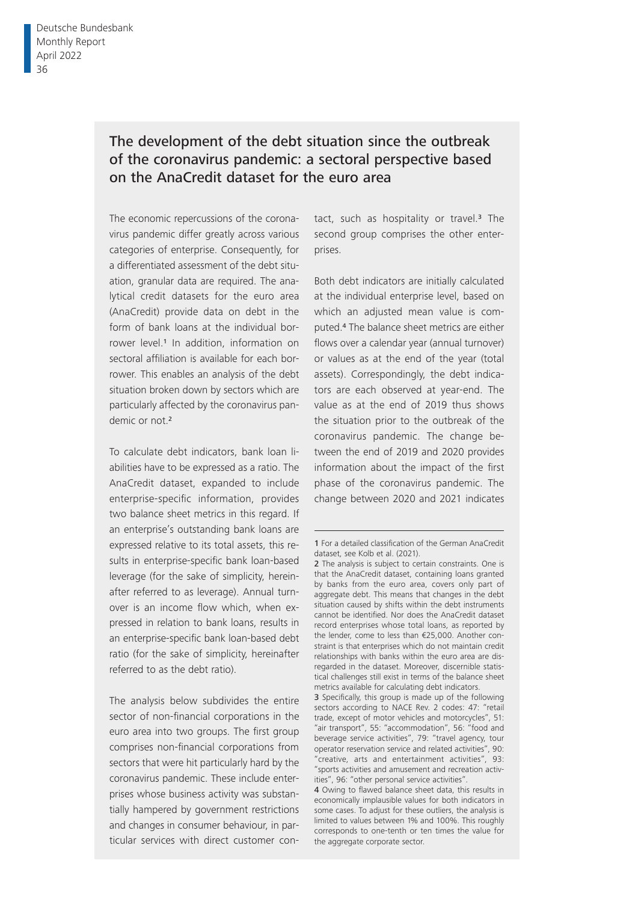## The development of the debt situation since the outbreak of the coronavirus pandemic: a sectoral perspective based on the AnaCredit dataset for the euro area

The economic repercussions of the coronavirus pandemic differ greatly across various categories of enterprise. Consequently, for a differentiated assessment of the debt situation, granular data are required. The analytical credit datasets for the euro area (AnaCredit) provide data on debt in the form of bank loans at the individual borrower level.<sup>1</sup> In addition, information on sectoral affiliation is available for each borrower. This enables an analysis of the debt situation broken down by sectors which are particularly affected by the coronavirus pandemic or not.<sup>2</sup>

To calculate debt indicators, bank loan liabilities have to be expressed as a ratio. The AnaCredit dataset, expanded to include enterprise-specific information, provides two balance sheet metrics in this regard. If an enterprise's outstanding bank loans are expressed relative to its total assets, this results in enterprise-specific bank loan-based leverage (for the sake of simplicity, hereinafter referred to as leverage). Annual turnover is an income flow which, when expressed in relation to bank loans, results in an enterprise-specific bank loan-based debt ratio (for the sake of simplicity, hereinafter referred to as the debt ratio).

The analysis below subdivides the entire sector of non-financial corporations in the euro area into two groups. The first group comprises non-financial corporations from sectors that were hit particularly hard by the coronavirus pandemic. These include enterprises whose business activity was substantially hampered by government restrictions and changes in consumer behaviour, in particular services with direct customer contact, such as hospitality or travel.<sup>3</sup> The second group comprises the other enterprises.

Both debt indicators are initially calculated at the individual enterprise level, based on which an adjusted mean value is computed.4 The balance sheet metrics are either flows over a calendar year (annual turnover) or values as at the end of the year (total assets). Correspondingly, the debt indicators are each observed at year-end. The value as at the end of 2019 thus shows the situation prior to the outbreak of the coronavirus pandemic. The change between the end of 2019 and 2020 provides information about the impact of the first phase of the coronavirus pandemic. The change between 2020 and 2021 indicates

3 Specifically, this group is made up of the following sectors according to NACE Rev. 2 codes: 47: "retail trade, except of motor vehicles and motorcycles", 51: "air transport", 55: "accommodation", 56: "food and beverage service activities", 79: "travel agency, tour operator reservation service and related activities", 90: "creative, arts and entertainment activities", 93: "sports activities and amusement and recreation activities", 96: "other personal service activities".

4 Owing to flawed balance sheet data, this results in economically implausible values for both indicators in some cases. To adjust for these outliers, the analysis is limited to values between 1% and 100%. This roughly corresponds to one-tenth or ten times the value for the aggregate corporate sector.

<sup>1</sup> For a detailed classification of the German AnaCredit dataset, see Kolb et al. (2021).

<sup>2</sup> The analysis is subject to certain constraints. One is that the AnaCredit dataset, containing loans granted by banks from the euro area, covers only part of aggregate debt. This means that changes in the debt situation caused by shifts within the debt instruments cannot be identified. Nor does the AnaCredit dataset record enterprises whose total loans, as reported by the lender, come to less than €25,000. Another constraint is that enterprises which do not maintain credit relationships with banks within the euro area are disregarded in the dataset. Moreover, discernible statistical challenges still exist in terms of the balance sheet metrics available for calculating debt indicators.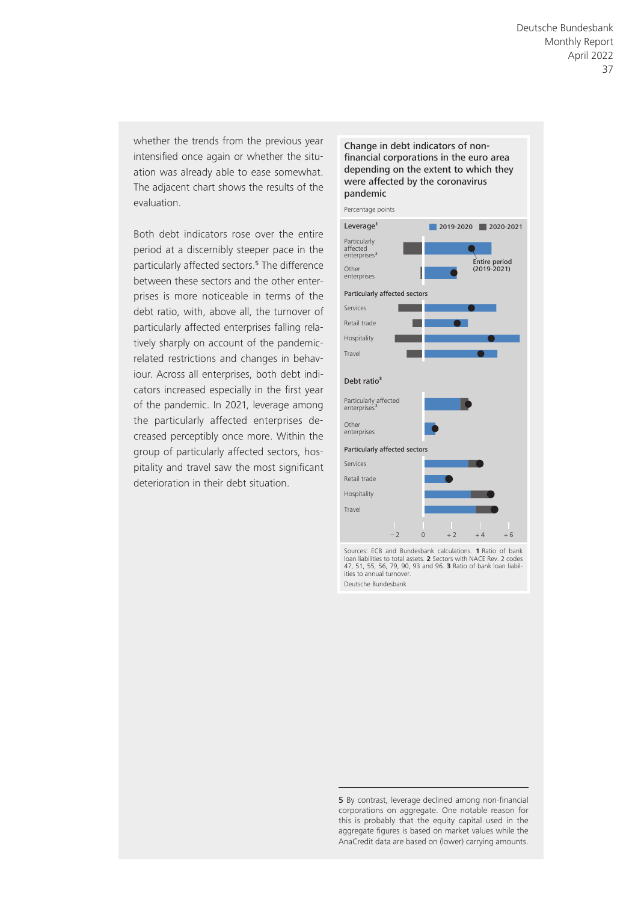whether the trends from the previous year intensified once again or whether the situation was already able to ease somewhat. The adjacent chart shows the results of the evaluation.

Both debt indicators rose over the entire period at a discernibly steeper pace in the particularly affected sectors.<sup>5</sup> The difference between these sectors and the other enterprises is more noticeable in terms of the debt ratio, with, above all, the turnover of particularly affected enterprises falling relatively sharply on account of the pandemicrelated restrictions and changes in behaviour. Across all enterprises, both debt indicators increased especially in the first year of the pandemic. In 2021, leverage among the particularly affected enterprises decreased perceptibly once more. Within the group of particularly affected sectors, hospitality and travel saw the most significant deterioration in their debt situation.

#### Change in debt indicators of nonfinancial corporations in the euro area depending on the extent to which they were affected by the coronavirus pandemic



Sources: ECB and Bundesbank calculations. **1** Ratio of bank loan liabilities to total assets. **2** Sectors with NACE Rev. 2 codes 47, 51, 55, 56, 79, 90, 93 and 96. **3** Ratio of bank loan liabil-ities to annual turnover. Deutsche Bundesbank

<sup>5</sup> By contrast, leverage declined among non-financial corporations on aggregate. One notable reason for this is probably that the equity capital used in the aggregate figures is based on market values while the AnaCredit data are based on (lower) carrying amounts.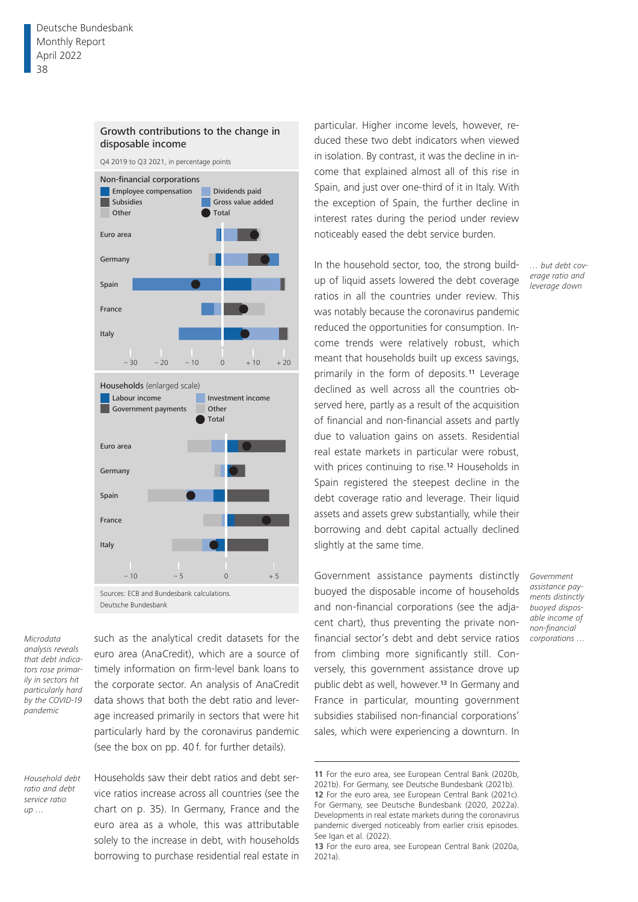

Growth contributions to the change in

Sources: ECB and Bundesbank calculations. Deutsche Bundesbank

*Microdata analysis reveals that debt indicators rose primarily in sectors hit particularly hard by the COVID-19 pandemic*

such as the analytical credit datasets for the euro area (AnaCredit), which are a source of timely information on firm-level bank loans to the corporate sector. An analysis of AnaCredit data shows that both the debt ratio and leverage increased primarily in sectors that were hit particularly hard by the coronavirus pandemic (see the box on pp. 40 f. for further details).

*Household debt ratio and debt service ratio up …*

Households saw their debt ratios and debt service ratios increase across all countries (see the chart on p. 35). In Germany, France and the euro area as a whole, this was attributable solely to the increase in debt, with households borrowing to purchase residential real estate in

particular. Higher income levels, however, reduced these two debt indicators when viewed in isolation. By contrast, it was the decline in income that explained almost all of this rise in Spain, and just over one-third of it in Italy. With the exception of Spain, the further decline in interest rates during the period under review noticeably eased the debt service burden.

In the household sector, too, the strong buildup of liquid assets lowered the debt coverage ratios in all the countries under review. This was notably because the coronavirus pandemic reduced the opportunities for consumption. Income trends were relatively robust, which meant that households built up excess savings, primarily in the form of deposits.<sup>11</sup> Leverage declined as well across all the countries observed here, partly as a result of the acquisition of financial and non-financial assets and partly due to valuation gains on assets. Residential real estate markets in particular were robust, with prices continuing to rise.<sup>12</sup> Households in Spain registered the steepest decline in the debt coverage ratio and leverage. Their liquid assets and assets grew substantially, while their borrowing and debt capital actually declined slightly at the same time.

Government assistance payments distinctly buoyed the disposable income of households and non-financial corporations (see the adjacent chart), thus preventing the private nonfinancial sector's debt and debt service ratios from climbing more significantly still. Conversely, this government assistance drove up public debt as well, however.<sup>13</sup> In Germany and France in particular, mounting government subsidies stabilised non-financial corporations' sales, which were experiencing a downturn. In

*… but debt coverage ratio and leverage down*

*Government assistance payments distinctly buoyed disposable income of non-financial corporations …*

<sup>11</sup> For the euro area, see European Central Bank (2020b, 2021b). For Germany, see Deutsche Bundesbank (2021b). 12 For the euro area, see European Central Bank (2021c). For Germany, see Deutsche Bundesbank (2020, 2022a). Developments in real estate markets during the coronavirus pandemic diverged noticeably from earlier crisis episodes. See Igan et al. (2022).

<sup>13</sup> For the euro area, see European Central Bank (2020a, 2021a).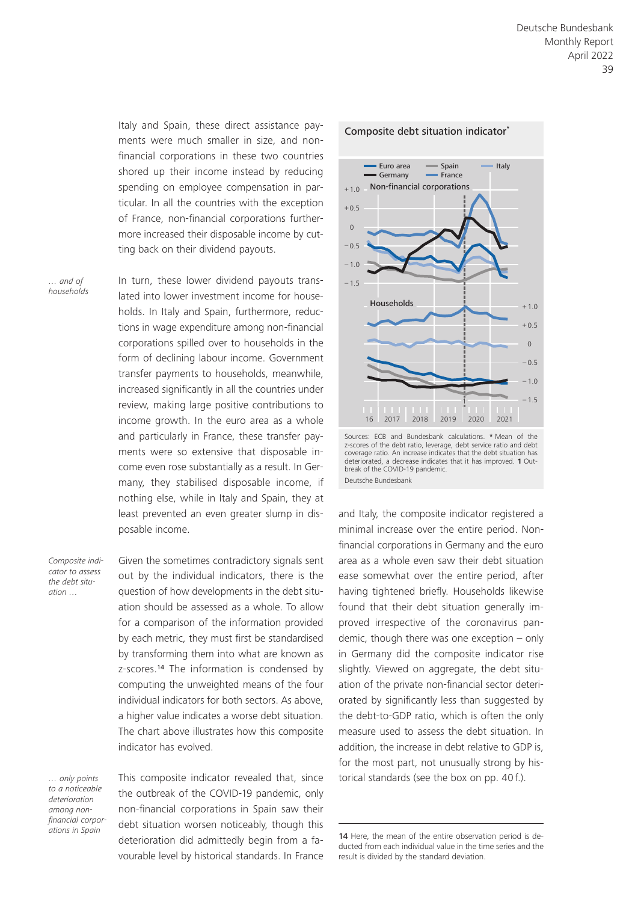Italy and Spain, these direct assistance payments were much smaller in size, and nonfinancial corporations in these two countries shored up their income instead by reducing spending on employee compensation in particular. In all the countries with the exception of France, non-financial corporations furthermore increased their disposable income by cutting back on their dividend payouts.

*… and of households* In turn, these lower dividend payouts translated into lower investment income for households. In Italy and Spain, furthermore, reductions in wage expenditure among non-financial corporations spilled over to households in the form of declining labour income. Government transfer payments to households, meanwhile, increased significantly in all the countries under review, making large positive contributions to income growth. In the euro area as a whole and particularly in France, these transfer payments were so extensive that disposable income even rose substantially as a result. In Germany, they stabilised disposable income, if nothing else, while in Italy and Spain, they at least prevented an even greater slump in disposable income.

*Composite indicator to assess the debt situation …*

Given the sometimes contradictory signals sent out by the individual indicators, there is the question of how developments in the debt situation should be assessed as a whole. To allow for a comparison of the information provided by each metric, they must first be standardised by transforming them into what are known as z-scores.14 The information is condensed by computing the unweighted means of the four individual indicators for both sectors. As above, a higher value indicates a worse debt situation. The chart above illustrates how this composite indicator has evolved.

*… only points to a noticeable deterioration among nonfinancial corporations in Spain*

This composite indicator revealed that, since the outbreak of the COVID-19 pandemic, only non-financial corporations in Spain saw their debt situation worsen noticeably, though this deterioration did admittedly begin from a favourable level by historical standards. In France



#### Composite debt situation indicator**\***

and Italy, the composite indicator registered a minimal increase over the entire period. Nonfinancial corporations in Germany and the euro area as a whole even saw their debt situation ease somewhat over the entire period, after having tightened briefly. Households likewise found that their debt situation generally improved irrespective of the coronavirus pandemic, though there was one exception – only in Germany did the composite indicator rise slightly. Viewed on aggregate, the debt situation of the private non-financial sector deteriorated by significantly less than suggested by the debt-to-GDP ratio, which is often the only measure used to assess the debt situation. In addition, the increase in debt relative to GDP is, for the most part, not unusually strong by historical standards (see the box on pp. 40 f.).

Sources: ECB and Bundesbank calculations. **\*** Mean of the z-scores of the debt ratio, leverage, debt service ratio and debt coverage ratio. An increase indicates that the debt situation has deteriorated, a decrease indicates that it has improved. **1** Outbreak of the COVID-19 pandemic. Deutsche Bundesbank

<sup>14</sup> Here, the mean of the entire observation period is deducted from each individual value in the time series and the result is divided by the standard deviation.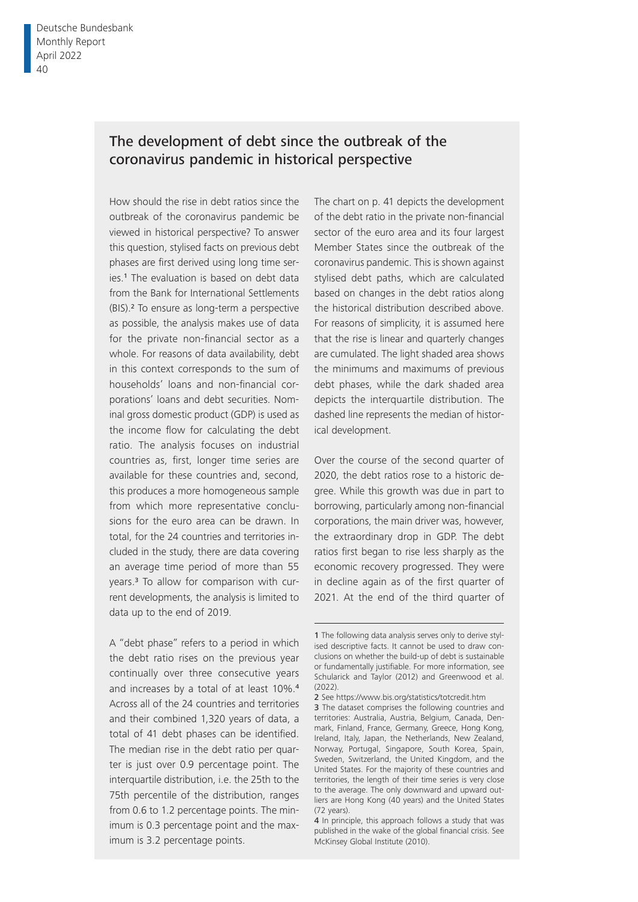## The development of debt since the outbreak of the coronavirus pandemic in historical perspective

How should the rise in debt ratios since the outbreak of the coronavirus pandemic be viewed in historical perspective? To answer this question, stylised facts on previous debt phases are first derived using long time series.1 The evaluation is based on debt data from the Bank for International Settlements (BIS).2 To ensure as long- term a perspective as possible, the analysis makes use of data for the private non-financial sector as a whole. For reasons of data availability, debt in this context corresponds to the sum of households' loans and non-financial corporations' loans and debt securities. Nominal gross domestic product (GDP) is used as the income flow for calculating the debt ratio. The analysis focuses on industrial countries as, first, longer time series are available for these countries and, second, this produces a more homogeneous sample from which more representative conclusions for the euro area can be drawn. In total, for the 24 countries and territories included in the study, there are data covering an average time period of more than 55 years.3 To allow for comparison with current developments, the analysis is limited to data up to the end of 2019.

A "debt phase" refers to a period in which the debt ratio rises on the previous year continually over three consecutive years and increases by a total of at least 10%.<sup>4</sup> Across all of the 24 countries and territories and their combined 1,320 years of data, a total of 41 debt phases can be identified. The median rise in the debt ratio per quarter is just over 0.9 percentage point. The interquartile distribution, i.e. the 25th to the 75th percentile of the distribution, ranges from 0.6 to 1.2 percentage points. The minimum is 0.3 percentage point and the maximum is 3.2 percentage points.

The chart on p. 41 depicts the development of the debt ratio in the private non-financial sector of the euro area and its four largest Member States since the outbreak of the coronavirus pandemic. This is shown against stylised debt paths, which are calculated based on changes in the debt ratios along the historical distribution described above. For reasons of simplicity, it is assumed here that the rise is linear and quarterly changes are cumulated. The light shaded area shows the minimums and maximums of previous debt phases, while the dark shaded area depicts the interquartile distribution. The dashed line represents the median of historical development.

Over the course of the second quarter of 2020, the debt ratios rose to a historic degree. While this growth was due in part to borrowing, particularly among non-financial corporations, the main driver was, however, the extraordinary drop in GDP. The debt ratios first began to rise less sharply as the economic recovery progressed. They were in decline again as of the first quarter of 2021. At the end of the third quarter of

<sup>1</sup> The following data analysis serves only to derive stylised descriptive facts. It cannot be used to draw conclusions on whether the build-up of debt is sustainable or fundamentally justifiable. For more information, see Schularick and Taylor (2012) and Greenwood et al. (2022).

<sup>2</sup> See https://www.bis.org/statistics/totcredit.htm

<sup>3</sup> The dataset comprises the following countries and territories: Australia, Austria, Belgium, Canada, Denmark, Finland, France, Germany, Greece, Hong Kong, Ireland, Italy, Japan, the Netherlands, New Zealand, Norway, Portugal, Singapore, South Korea, Spain, Sweden, Switzerland, the United Kingdom, and the United States. For the majority of these countries and territories, the length of their time series is very close to the average. The only downward and upward outliers are Hong Kong (40 years) and the United States (72 years).

<sup>4</sup> In principle, this approach follows a study that was published in the wake of the global financial crisis. See McKinsey Global Institute (2010).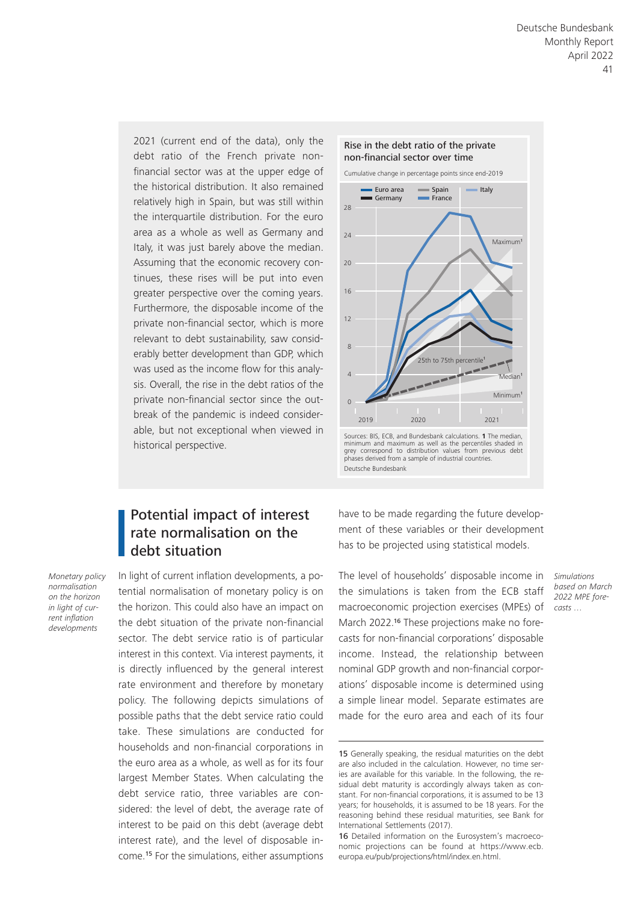2021 (current end of the data), only the debt ratio of the French private nonfinancial sector was at the upper edge of the historical distribution. It also remained relatively high in Spain, but was still within the interquartile distribution. For the euro area as a whole as well as Germany and Italy, it was just barely above the median. Assuming that the economic recovery continues, these rises will be put into even greater perspective over the coming years. Furthermore, the disposable income of the private non-financial sector, which is more relevant to debt sustainability, saw considerably better development than GDP, which was used as the income flow for this analysis. Overall, the rise in the debt ratios of the private non-financial sector since the outbreak of the pandemic is indeed considerable, but not exceptional when viewed in historical perspective.

## Potential impact of interest rate normalisation on the debt situation

*Monetary policy normalisation on the horizon in light of current inflation developments*

In light of current inflation developments, a potential normalisation of monetary policy is on the horizon. This could also have an impact on the debt situation of the private non-financial sector. The debt service ratio is of particular interest in this context. Via interest payments, it is directly influenced by the general interest rate environment and therefore by monetary policy. The following depicts simulations of possible paths that the debt service ratio could take. These simulations are conducted for households and non-financial corporations in the euro area as a whole, as well as for its four largest Member States. When calculating the debt service ratio, three variables are considered: the level of debt, the average rate of interest to be paid on this debt (average debt interest rate), and the level of disposable income.15 For the simulations, either assumptions



phases derived from a sample of industrial countries. Deutsche Bundesbank

have to be made regarding the future development of these variables or their development has to be projected using statistical models.

The level of households' disposable income in the simulations is taken from the ECB staff macroeconomic projection exercises (MPEs) of March 2022.16 These projections make no forecasts for non-financial corporations' disposable income. Instead, the relationship between nominal GDP growth and non-financial corporations' disposable income is determined using a simple linear model. Separate estimates are made for the euro area and each of its four

15 Generally speaking, the residual maturities on the debt are also included in the calculation. However, no time series are available for this variable. In the following, the residual debt maturity is accordingly always taken as constant. For non-financial corporations, it is assumed to be 13 years; for households, it is assumed to be 18 years. For the reasoning behind these residual maturities, see Bank for International Settlements (2017).

*Simulations based on March 2022 MPE forecasts …*

<sup>16</sup> Detailed information on the Eurosystem's macroeconomic projections can be found at [https://www.ecb.](https://www.ecb.europa.eu/pub/projections/html/index.en.html) [europa.eu/pub/projections/html/index.en.html.](https://www.ecb.europa.eu/pub/projections/html/index.en.html)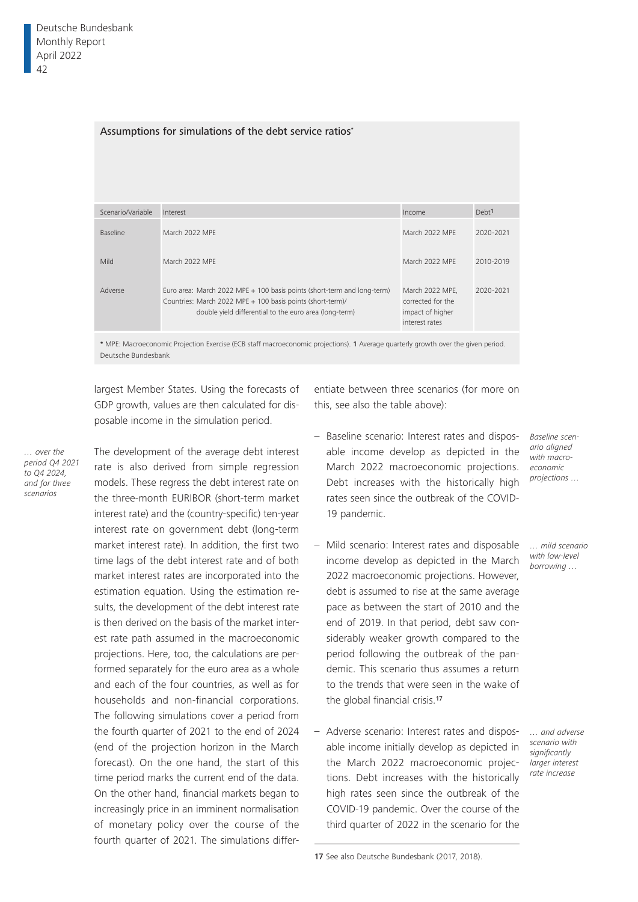| Assumptions for simulations of the debt service ratios* |                                                                                                                                                                                                 |                                                                            |                   |
|---------------------------------------------------------|-------------------------------------------------------------------------------------------------------------------------------------------------------------------------------------------------|----------------------------------------------------------------------------|-------------------|
| Scenario/Variable                                       | Interest                                                                                                                                                                                        | Income                                                                     | Debt <sup>1</sup> |
| Baseline                                                | March 2022 MPE                                                                                                                                                                                  | March 2022 MPE                                                             | 2020-2021         |
| Mild                                                    | March 2022 MPF                                                                                                                                                                                  | March 2022 MPF                                                             | 2010-2019         |
| Adverse                                                 | Euro area: March 2022 MPE + 100 basis points (short-term and long-term)<br>Countries: March 2022 MPE + 100 basis points (short-term)/<br>double yield differential to the euro area (long-term) | March 2022 MPE,<br>corrected for the<br>impact of higher<br>interest rates | 2020-2021         |

\* MPE: Macroeconomic Projection Exercise (ECB staff macroeconomic projections). 1 Average quarterly growth over the given period. Deutsche Bundesbank

largest Member States. Using the forecasts of GDP growth, values are then calculated for disposable income in the simulation period.

*… over the period Q4 2021 to Q4 2024, and for three scenarios*

The development of the average debt interest rate is also derived from simple regression models. These regress the debt interest rate on the three-month EURIBOR (short-term market interest rate) and the (country-specific) ten-year interest rate on government debt (long-term market interest rate). In addition, the first two time lags of the debt interest rate and of both market interest rates are incorporated into the estimation equation. Using the estimation results, the development of the debt interest rate is then derived on the basis of the market interest rate path assumed in the macroeconomic projections. Here, too, the calculations are performed separately for the euro area as a whole and each of the four countries, as well as for households and non-financial corporations. The following simulations cover a period from the fourth quarter of 2021 to the end of 2024 (end of the projection horizon in the March forecast). On the one hand, the start of this time period marks the current end of the data. On the other hand, financial markets began to increasingly price in an imminent normalisation of monetary policy over the course of the fourth quarter of 2021. The simulations differentiate between three scenarios (for more on this, see also the table above):

- Baseline scenario: Interest rates and disposable income develop as depicted in the March 2022 macroeconomic projections. Debt increases with the historically high rates seen since the outbreak of the COVID-19 pandemic.
- Mild scenario: Interest rates and disposable income develop as depicted in the March 2022 macroeconomic projections. However, debt is assumed to rise at the same average pace as between the start of 2010 and the end of 2019. In that period, debt saw considerably weaker growth compared to the period following the outbreak of the pandemic. This scenario thus assumes a return to the trends that were seen in the wake of the global financial crisis.<sup>17</sup>
- Adverse scenario: Interest rates and disposable income initially develop as depicted in the March 2022 macroeconomic projections. Debt increases with the historically high rates seen since the outbreak of the COVID-19 pandemic. Over the course of the third quarter of 2022 in the scenario for the

*Baseline scenario aligned with macroeconomic projections …*

*… mild scenario with low-level borrowing …*

*… and adverse scenario with significantly larger interest rate increase*

<sup>17</sup> See also Deutsche Bundesbank (2017, 2018).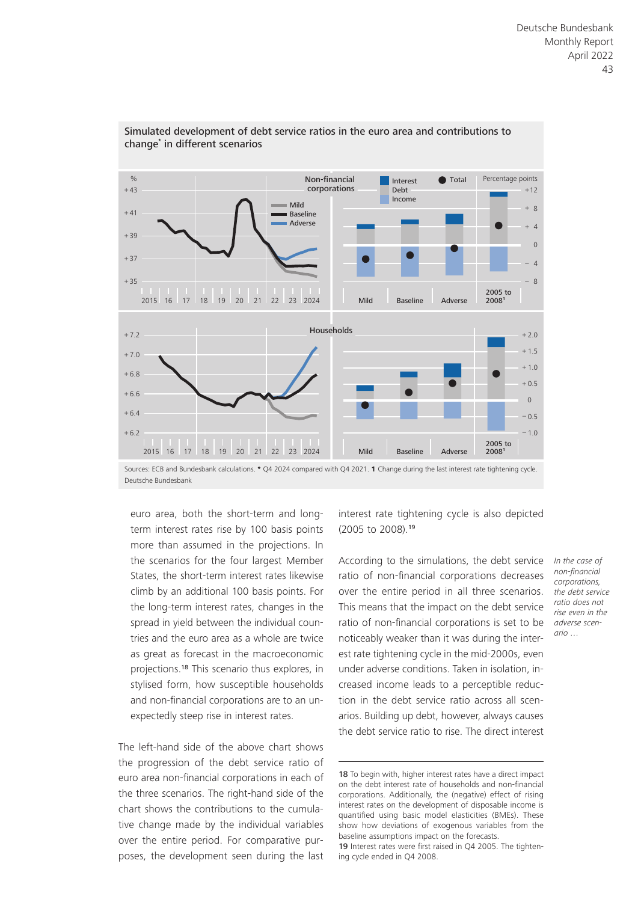

#### Simulated development of debt service ratios in the euro area and contributions to change**\*** in different scenarios

euro area, both the short-term and longterm interest rates rise by 100 basis points more than assumed in the projections. In the scenarios for the four largest Member States, the short-term interest rates likewise climb by an additional 100 basis points. For the long-term interest rates, changes in the spread in yield between the individual countries and the euro area as a whole are twice as great as forecast in the macroeconomic projections.18 This scenario thus explores, in stylised form, how susceptible households and non-financial corporations are to an unexpectedly steep rise in interest rates.

The left-hand side of the above chart shows the progression of the debt service ratio of euro area non-financial corporations in each of the three scenarios. The right-hand side of the chart shows the contributions to the cumulative change made by the individual variables over the entire period. For comparative purposes, the development seen during the last interest rate tightening cycle is also depicted (2005 to 2008).<sup>19</sup>

According to the simulations, the debt service ratio of non-financial corporations decreases over the entire period in all three scenarios. This means that the impact on the debt service ratio of non-financial corporations is set to be noticeably weaker than it was during the interest rate tightening cycle in the mid-2000s, even under adverse conditions. Taken in isolation, increased income leads to a perceptible reduction in the debt service ratio across all scenarios. Building up debt, however, always causes the debt service ratio to rise. The direct interest

*In the case of non-financial corporations, the debt service ratio does not rise even in the adverse scenario …*

<sup>18</sup> To begin with, higher interest rates have a direct impact on the debt interest rate of households and non-financial corporations. Additionally, the (negative) effect of rising interest rates on the development of disposable income is quantified using basic model elasticities (BMEs). These show how deviations of exogenous variables from the baseline assumptions impact on the forecasts.

<sup>19</sup> Interest rates were first raised in Q4 2005. The tightening cycle ended in Q4 2008.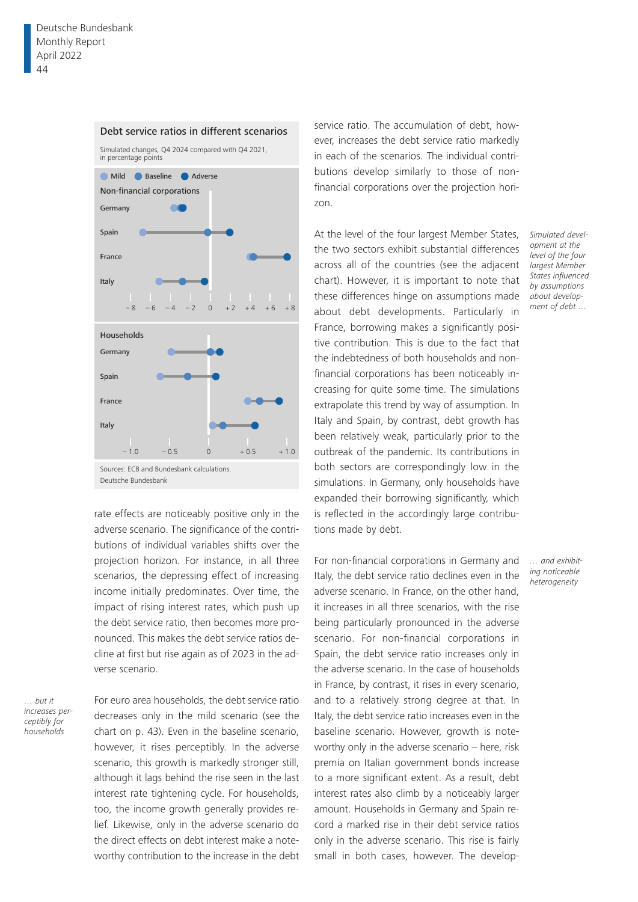

rate effects are noticeably positive only in the adverse scenario. The significance of the contributions of individual variables shifts over the projection horizon. For instance, in all three scenarios, the depressing effect of increasing income initially predominates. Over time, the impact of rising interest rates, which push up the debt service ratio, then becomes more pronounced. This makes the debt service ratios decline at first but rise again as of 2023 in the adverse scenario.

*… but it increases perceptibly for households*

For euro area households, the debt service ratio decreases only in the mild scenario (see the chart on p. 43). Even in the baseline scenario, however, it rises perceptibly. In the adverse scenario, this growth is markedly stronger still, although it lags behind the rise seen in the last interest rate tightening cycle. For households, too, the income growth generally provides relief. Likewise, only in the adverse scenario do the direct effects on debt interest make a noteworthy contribution to the increase in the debt

service ratio. The accumulation of debt, however, increases the debt service ratio markedly in each of the scenarios. The individual contributions develop similarly to those of nonfinancial corporations over the projection horizon.

At the level of the four largest Member States, the two sectors exhibit substantial differences across all of the countries (see the adjacent chart). However, it is important to note that these differences hinge on assumptions made about debt developments. Particularly in France, borrowing makes a significantly positive contribution. This is due to the fact that the indebtedness of both households and nonfinancial corporations has been noticeably increasing for quite some time. The simulations extrapolate this trend by way of assumption. In Italy and Spain, by contrast, debt growth has been relatively weak, particularly prior to the outbreak of the pandemic. Its contributions in both sectors are correspondingly low in the simulations. In Germany, only households have expanded their borrowing significantly, which is reflected in the accordingly large contributions made by debt.

For non-financial corporations in Germany and Italy, the debt service ratio declines even in the adverse scenario. In France, on the other hand, it increases in all three scenarios, with the rise being particularly pronounced in the adverse scenario. For non-financial corporations in Spain, the debt service ratio increases only in the adverse scenario. In the case of households in France, by contrast, it rises in every scenario, and to a relatively strong degree at that. In Italy, the debt service ratio increases even in the baseline scenario. However, growth is noteworthy only in the adverse scenario – here, risk premia on Italian government bonds increase to a more significant extent. As a result, debt interest rates also climb by a noticeably larger amount. Households in Germany and Spain record a marked rise in their debt service ratios only in the adverse scenario. This rise is fairly small in both cases, however. The develop*Simulated development at the level of the four largest Member States influenced by assumptions about development of debt …*

*… and exhibiting noticeable heterogeneity*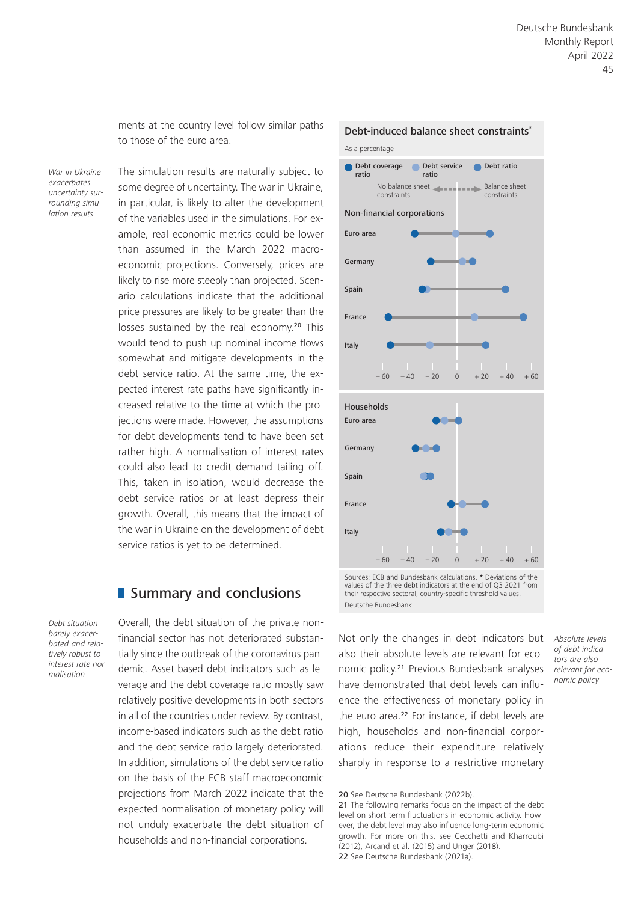ments at the country level follow similar paths to those of the euro area.

*War in Ukraine exacerbates uncertainty surrounding simulation results*

The simulation results are naturally subject to some degree of uncertainty. The war in Ukraine, in particular, is likely to alter the development of the variables used in the simulations. For example, real economic metrics could be lower than assumed in the March 2022 macroeconomic projections. Conversely, prices are likely to rise more steeply than projected. Scenario calculations indicate that the additional price pressures are likely to be greater than the losses sustained by the real economy.<sup>20</sup> This would tend to push up nominal income flows somewhat and mitigate developments in the debt service ratio. At the same time, the expected interest rate paths have significantly increased relative to the time at which the projections were made. However, the assumptions for debt developments tend to have been set rather high. A normalisation of interest rates could also lead to credit demand tailing off. This, taken in isolation, would decrease the debt service ratios or at least depress their growth. Overall, this means that the impact of the war in Ukraine on the development of debt service ratios is yet to be determined.

### **Summary and conclusions**

*Debt situation barely exacerbated and relatively robust to interest rate normalisation*

Overall, the debt situation of the private nonfinancial sector has not deteriorated substantially since the outbreak of the coronavirus pandemic. Asset-based debt indicators such as leverage and the debt coverage ratio mostly saw relatively positive developments in both sectors in all of the countries under review. By contrast, income-based indicators such as the debt ratio and the debt service ratio largely deteriorated. In addition, simulations of the debt service ratio on the basis of the ECB staff macroeconomic projections from March 2022 indicate that the expected normalisation of monetary policy will not unduly exacerbate the debt situation of households and non-financial corporations.



their respective sectoral, country-specific threshold values. Deutsche Bundesbank

Not only the changes in debt indicators but also their absolute levels are relevant for economic policy.21 Previous Bundesbank analyses have demonstrated that debt levels can influence the effectiveness of monetary policy in the euro area.<sup>22</sup> For instance, if debt levels are high, households and non-financial corporations reduce their expenditure relatively sharply in response to a restrictive monetary

21 The following remarks focus on the impact of the debt level on short-term fluctuations in economic activity. However, the debt level may also influence long-term economic growth. For more on this, see Cecchetti and Kharroubi (2012), Arcand et al. (2015) and Unger (2018). 22 See Deutsche Bundesbank (2021a).

*Absolute levels of debt indicators are also relevant for economic policy*

<sup>20</sup> See Deutsche Bundesbank (2022b).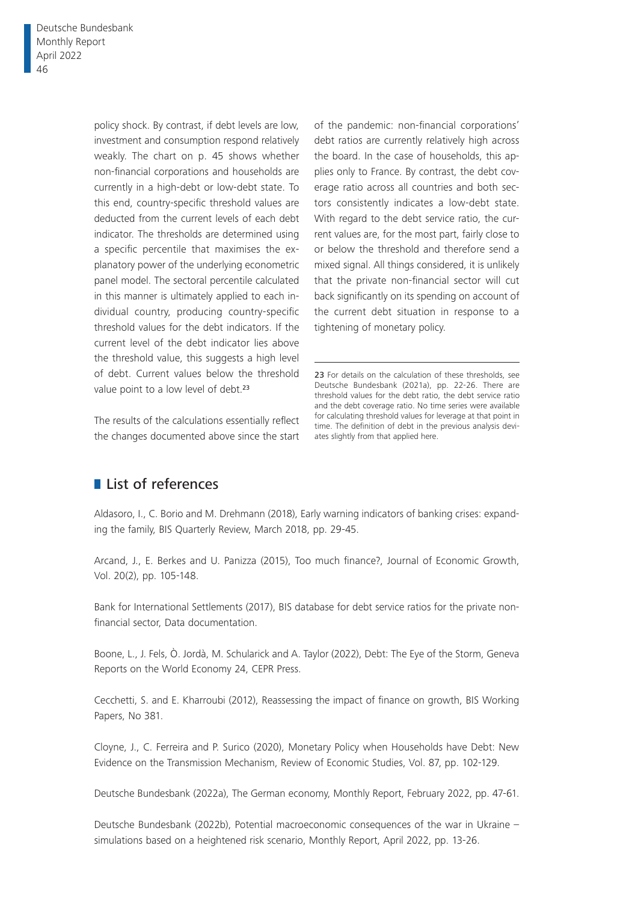policy shock. By contrast, if debt levels are low, investment and consumption respond relatively weakly. The chart on p. 45 shows whether non-financial corporations and households are currently in a high-debt or low-debt state. To this end, country-specific threshold values are deducted from the current levels of each debt indicator. The thresholds are determined using a specific percentile that maximises the explanatory power of the underlying econometric panel model. The sectoral percentile calculated in this manner is ultimately applied to each individual country, producing country-specific threshold values for the debt indicators. If the current level of the debt indicator lies above the threshold value, this suggests a high level of debt. Current values below the threshold value point to a low level of debt.<sup>23</sup>

The results of the calculations essentially reflect the changes documented above since the start of the pandemic: non-financial corporations' debt ratios are currently relatively high across the board. In the case of households, this applies only to France. By contrast, the debt coverage ratio across all countries and both sectors consistently indicates a low-debt state. With regard to the debt service ratio, the current values are, for the most part, fairly close to or below the threshold and therefore send a mixed signal. All things considered, it is unlikely that the private non-financial sector will cut back significantly on its spending on account of the current debt situation in response to a tightening of monetary policy.

# List of references

Aldasoro, I., C. Borio and M. Drehmann (2018), Early warning indicators of banking crises: expanding the family, BIS Quarterly Review, March 2018, pp. 29-45.

Arcand, J., E. Berkes and U. Panizza (2015), Too much finance?, Journal of Economic Growth, Vol. 20(2), pp. 105-148.

Bank for International Settlements (2017), BIS database for debt service ratios for the private nonfinancial sector, Data documentation.

Boone, L., J. Fels, Ò. Jordà, M. Schularick and A. Taylor (2022), Debt: The Eye of the Storm, Geneva Reports on the World Economy 24, CEPR Press.

Cecchetti, S. and E. Kharroubi (2012), Reassessing the impact of finance on growth, BIS Working Papers, No 381.

Cloyne, J., C. Ferreira and P. Surico (2020), Monetary Policy when Households have Debt: New Evidence on the Transmission Mechanism, Review of Economic Studies, Vol. 87, pp. 102-129.

Deutsche Bundesbank (2022a), The German economy, Monthly Report, February 2022, pp. 47-61.

Deutsche Bundesbank (2022b), Potential macroeconomic consequences of the war in Ukraine – simulations based on a heightened risk scenario, Monthly Report, April 2022, pp. 13-26.

<sup>23</sup> For details on the calculation of these thresholds, see Deutsche Bundesbank (2021a), pp. 22-26. There are threshold values for the debt ratio, the debt service ratio and the debt coverage ratio. No time series were available for calculating threshold values for leverage at that point in time. The definition of debt in the previous analysis deviates slightly from that applied here.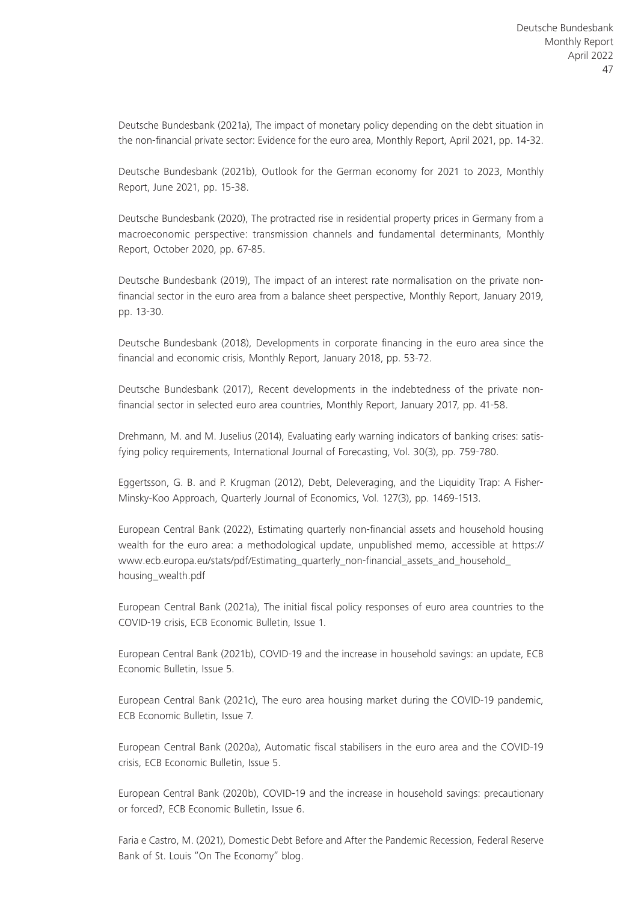Deutsche Bundesbank (2021a), The impact of monetary policy depending on the debt situation in the non-financial private sector: Evidence for the euro area, Monthly Report, April 2021, pp. 14-32.

Deutsche Bundesbank (2021b), Outlook for the German economy for 2021 to 2023, Monthly Report, June 2021, pp. 15-38.

Deutsche Bundesbank (2020), The protracted rise in residential property prices in Germany from a macroeconomic perspective: transmission channels and fundamental determinants, Monthly Report, October 2020, pp. 67-85.

Deutsche Bundesbank (2019), The impact of an interest rate normalisation on the private nonfinancial sector in the euro area from a balance sheet perspective, Monthly Report, January 2019, pp. 13-30.

Deutsche Bundesbank (2018), Developments in corporate financing in the euro area since the financial and economic crisis, Monthly Report, January 2018, pp. 53-72.

Deutsche Bundesbank (2017), Recent developments in the indebtedness of the private nonfinancial sector in selected euro area countries, Monthly Report, January 2017, pp. 41-58.

Drehmann, M. and M. Juselius (2014), Evaluating early warning indicators of banking crises: satisfying policy requirements, International Journal of Forecasting, Vol. 30(3), pp. 759-780.

Eggertsson, G. B. and P. Krugman (2012), Debt, Deleveraging, and the Liquidity Trap: A Fisher-Minsky-Koo Approach, Quarterly Journal of Economics, Vol. 127(3), pp. 1469-1513.

European Central Bank (2022), Estimating quarterly non-financial assets and household housing wealth for the euro area: a methodological update, unpublished memo, accessible at [https://](https://www.ecb.europa.eu/stats/pdf/Estimating_quarterly_non-financial_assets_and_household_housing_wealth.pdf) www.ecb.europa.eu/stats/pdf/Estimating\_quarterly\_non-financial\_assets\_and\_household [housing\\_wealth.pdf](https://www.ecb.europa.eu/stats/pdf/Estimating_quarterly_non-financial_assets_and_household_housing_wealth.pdf)

European Central Bank (2021a), The initial fiscal policy responses of euro area countries to the COVID-19 crisis, ECB Economic Bulletin, Issue 1.

European Central Bank (2021b), COVID-19 and the increase in household savings: an update, ECB Economic Bulletin, Issue 5.

European Central Bank (2021c), The euro area housing market during the COVID-19 pandemic, ECB Economic Bulletin, Issue 7.

European Central Bank (2020a), Automatic fiscal stabilisers in the euro area and the COVID-19 crisis, ECB Economic Bulletin, Issue 5.

European Central Bank (2020b), COVID-19 and the increase in household savings: precautionary or forced?, ECB Economic Bulletin, Issue 6.

Faria e Castro, M. (2021), Domestic Debt Before and After the Pandemic Recession, Federal Reserve Bank of St. Louis "On The Economy" blog.